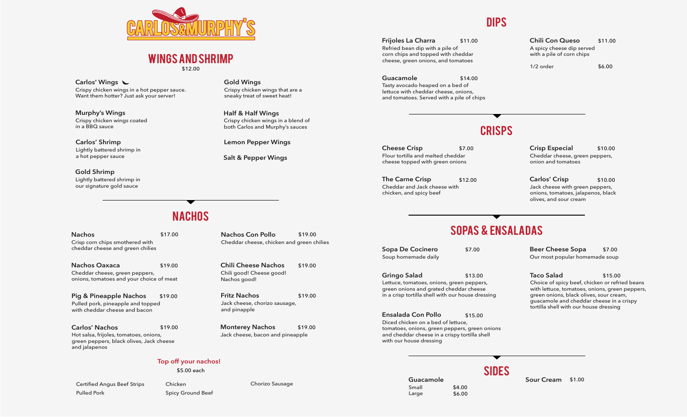

#### wings and shrimp

\$12.00

Crispy chicken wings in a hot pepper sauce. Want them hotter? Just ask your server! **Carlos' Wings**

Crispy chicken wings coated in a BBQ sauce **Murphy's Wings**

Lightly battered shrimp in a hot pepper sauce **Carlos' Shrimp**

**Gold Shrimp** Lightly battered shrimp in our signature gold sauce

**Gold Wings**

Crispy chicken wings that are a sneaky treat of sweet heat!

Crispy chicken wings in a blend of both Carlos and Murphy's sauces **Half & Half Wings**

**Lemon Pepper Wings**

**Salt & Pepper Wings**

### Dips

Refried bean dip with a pile of corn chips and topped with cheddar cheese, green onions, and tomatoes **Frijoles La Charra**

Tasty avocado heaped on a bed of lettuce with cheddar cheese, onions, and tomatoes. Served with a pile of chips **Guacamole** \$14.00

**Chili Con Queso** \$11.00 \$11.00 A spicy cheese dip served with a pile of corn chips

> 1/2 order \$6.00

## **CRISPS**

Flour tortilla and melted cheddar cheese topped with green onions **Cheese Crisp** \$7.00 **Crisp Especial** \$10.00

Cheddar and Jack cheese with chicken, and spicy beef

Cheddar cheese, green peppers, onion and tomatoes

**The Carne Crisp** \$12.00 **Carlos' Crisp** \$10.00 Jack cheese with green peppers, onions, tomatoes, jalapenos, black olives, and sour cream

## **NACHOS**

Crisp corn chips smothered with cheddar cheese and green chilies \$17.00 **Nachos**

\$19.00 Cheddar cheese, green peppers, onions, tomatoes and your choice of meat **Nachos Oaxaca**

\$19.00 Pulled pork, pineapple and topped with cheddar cheese and bacon **Pig & Pineapple Nachos**

Hot salsa, frijoles, tomatoes, onions, green peppers, black olives, Jack cheese and jalapenos \$19.00 **Carlos' Nachos**

\$19.00 **Nachos Con Pollo** Cheddar cheese, chicken and green chilies

\$19.00 Chili good! Cheese good! Nachos good! **Chili Cheese Nachos**

\$19.00 Jack cheese, chorizo sausage, and pinapple **Fritz Nachos**

\$19.00 **Monterey Nachos** Jack cheese, bacon and pineapple

Chorizo Sausage

#### **Top off your nachos!**

\$5.00 each

Certified Angus Beef Strips Pulled Pork

Chicken Spicy Ground Beef

# Sopas & Ensaladas

**SIDES** 

Soup homemade daily **Sopa De Cocinero**

> Small Large

Lettuce, tomatoes, onions, green peppers, green onions and grated cheddar cheese in a crisp tortilla shell with our house dressing **Gringo Salad** \$13.00

Diced chicken on a bed of lettuce, tomatoes, onions, green peppers, green onions and cheddar cheese in a crispy tortilla shell with our house dressing **Ensalada Con Pollo** \$15.00

\$7.00 **Beer Cheese Sopa** \$7.00 Our most popular homemade soup

> Choice of spicy beef, chicken or refried beans with lettuce, tomatoes, onions, green peppers, green onions, black olives, sour cream, guacamole and cheddar cheese in a crispy tortilla shell with our house dressing **Taco Salad** \$15.00

\$4.00 \$6.00

**Guacamole Sour Cream** \$1.00